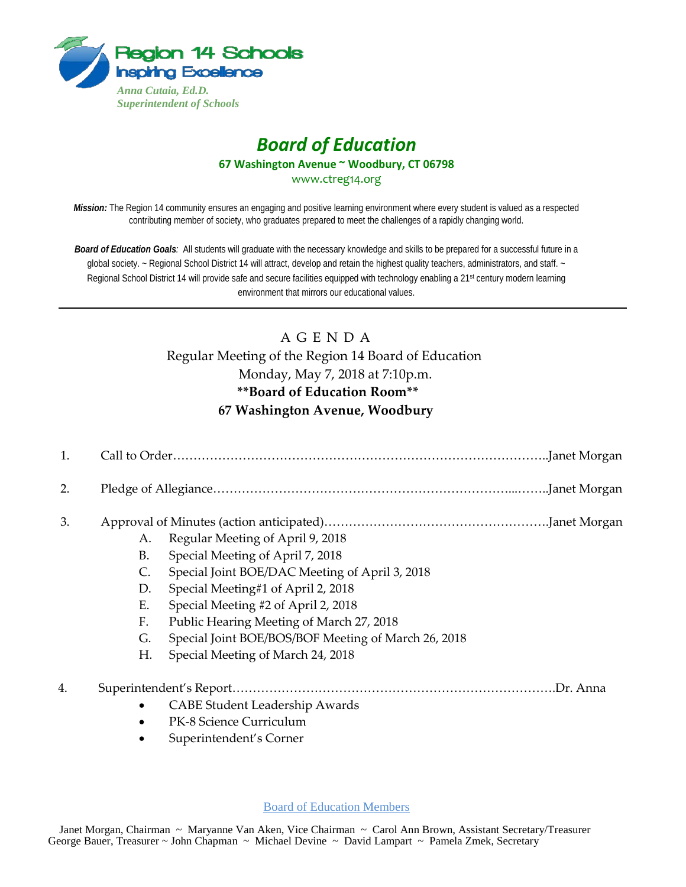

## *Board of Education* **67 Washington Avenue ~ Woodbury, CT 06798** www.ctreg14.org

*Mission:* The Region 14 community ensures an engaging and positive learning environment where every student is valued as a respected contributing member of society, who graduates prepared to meet the challenges of a rapidly changing world.

*Board of Education Goals:* All students will graduate with the necessary knowledge and skills to be prepared for a successful future in a global society. ~ Regional School District 14 will attract, develop and retain the highest quality teachers, administrators, and staff. ~ Regional School District 14 will provide safe and secure facilities equipped with technology enabling a 21<sup>st</sup> century modern learning environment that mirrors our educational values.

# A G E N D A Regular Meeting of the Region 14 Board of Education Monday, May 7, 2018 at 7:10p.m. **\*\*Board of Education Room\*\* 67 Washington Avenue, Woodbury**

| 1. |                |                                                     |
|----|----------------|-----------------------------------------------------|
| 2. |                |                                                     |
| 3. |                |                                                     |
|    | A.             | Regular Meeting of April 9, 2018                    |
|    | <b>B.</b>      | Special Meeting of April 7, 2018                    |
|    | $\mathsf{C}$ . | Special Joint BOE/DAC Meeting of April 3, 2018      |
|    | D.             | Special Meeting#1 of April 2, 2018                  |
|    | Ε.             | Special Meeting #2 of April 2, 2018                 |
|    | F.             | Public Hearing Meeting of March 27, 2018            |
|    | G.             | Special Joint BOE/BOS/BOF Meeting of March 26, 2018 |
|    | Н.             | Special Meeting of March 24, 2018                   |
| 4. |                | Dr. Anna                                            |
|    |                | <b>CABE Student Leadership Awards</b>               |
|    |                | PK-8 Science Curriculum                             |
|    |                | Superintendent's Corner                             |

Board of Education Members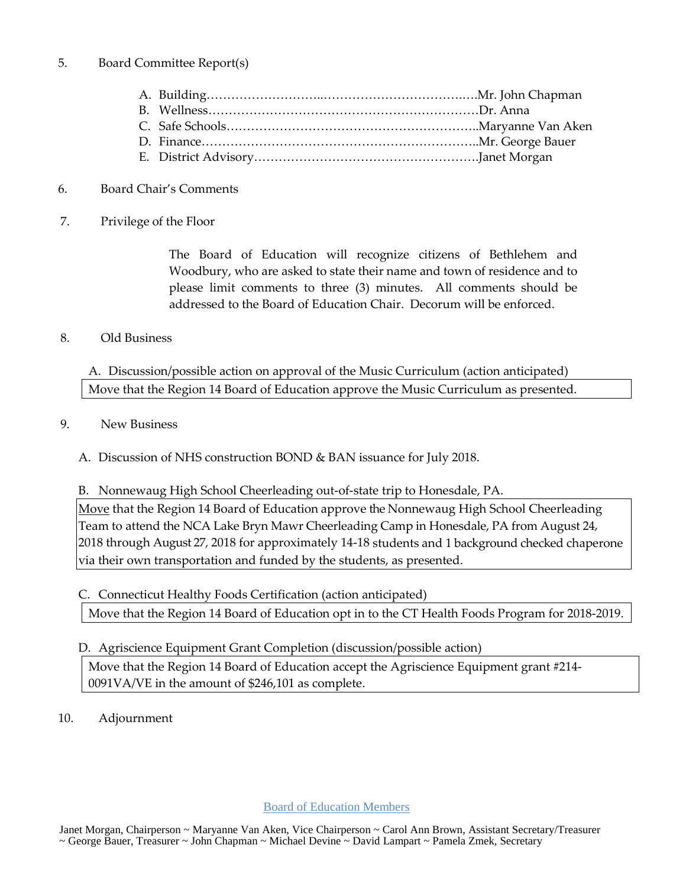#### 5. Board Committee Report(s)

### 6. Board Chair's Comments

7. Privilege of the Floor

The Board of Education will recognize citizens of Bethlehem and Woodbury, who are asked to state their name and town of residence and to please limit comments to three (3) minutes. All comments should be addressed to the Board of Education Chair. Decorum will be enforced.

### 8. Old Business

A. Discussion/possible action on approval of the Music Curriculum (action anticipated) Move that the Region 14 Board of Education approve the Music Curriculum as presented.

### 9. New Business

A. Discussion of NHS construction BOND & BAN issuance for July 2018.

B. Nonnewaug High School Cheerleading out-of-state trip to Honesdale, PA.

Move that the Region 14 Board of Education approve the Nonnewaug High School Cheerleading Team to attend the NCA Lake Bryn Mawr Cheerleading Camp in Honesdale, PA from August 24, 2018 through August 27, 2018 for approximately 14-18 students and 1 background checked chaperone via their own transportation and funded by the students, as presented.

C. Connecticut Healthy Foods Certification (action anticipated) Move that the Region 14 Board of Education opt in to the CT Health Foods Program for 2018-2019.

### D. Agriscience Equipment Grant Completion (discussion/possible action)

Move that the Region 14 Board of Education accept the Agriscience Equipment grant #214- 0091VA/VE in the amount of \$246,101 as complete.

10. Adjournment

Board of Education Members